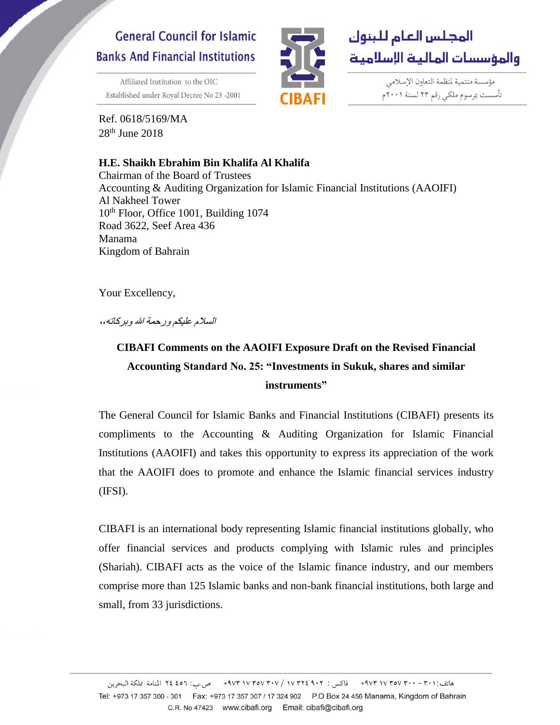## **General Council for Islamic Banks And Financial Institutions**

Affiliated Institution to the OIC Established under Royal Decree No 23-2001



مؤسسة منتمية لمنظمة التعاون الإسلامي تأسست بمرسوم ملكى رقم ٢٣ لسنة ٢٠٠١م

Ref. 0618/5169/MA 28th June 2018

## **H.E. Shaikh Ebrahim Bin Khalifa Al Khalifa**

Chairman of the Board of Trustees Accounting & Auditing Organization for Islamic Financial Institutions (AAOIFI) Al Nakheel Tower 10th Floor, Office 1001, Building 1074 Road 3622, Seef Area 436 Manama Kingdom of Bahrain

Your Excellency,

السالم عليكم ورحمة هللا وبركاته*،،*

## **CIBAFI Comments on the AAOIFI Exposure Draft on the Revised Financial Accounting Standard No. 25: "Investments in Sukuk, shares and similar instruments"**

The General Council for Islamic Banks and Financial Institutions (CIBAFI) presents its compliments to the Accounting & Auditing Organization for Islamic Financial Institutions (AAOIFI) and takes this opportunity to express its appreciation of the work that the AAOIFI does to promote and enhance the Islamic financial services industry (IFSI).

CIBAFI is an international body representing Islamic financial institutions globally, who offer financial services and products complying with Islamic rules and principles (Shariah). CIBAFI acts as the voice of the Islamic finance industry, and our members comprise more than 125 Islamic banks and non-bank financial institutions, both large and small, from 33 jurisdictions.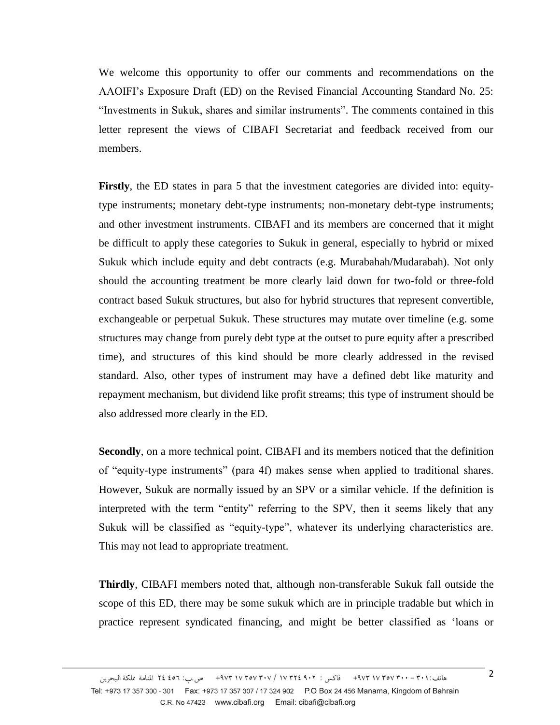We welcome this opportunity to offer our comments and recommendations on the AAOIFI's Exposure Draft (ED) on the Revised Financial Accounting Standard No. 25: "Investments in Sukuk, shares and similar instruments". The comments contained in this letter represent the views of CIBAFI Secretariat and feedback received from our members.

**Firstly**, the ED states in para 5 that the investment categories are divided into: equitytype instruments; monetary debt-type instruments; non-monetary debt-type instruments; and other investment instruments. CIBAFI and its members are concerned that it might be difficult to apply these categories to Sukuk in general, especially to hybrid or mixed Sukuk which include equity and debt contracts (e.g. Murabahah/Mudarabah). Not only should the accounting treatment be more clearly laid down for two-fold or three-fold contract based Sukuk structures, but also for hybrid structures that represent convertible, exchangeable or perpetual Sukuk. These structures may mutate over timeline (e.g. some structures may change from purely debt type at the outset to pure equity after a prescribed time), and structures of this kind should be more clearly addressed in the revised standard. Also, other types of instrument may have a defined debt like maturity and repayment mechanism, but dividend like profit streams; this type of instrument should be also addressed more clearly in the ED.

**Secondly**, on a more technical point, CIBAFI and its members noticed that the definition of "equity-type instruments" (para 4f) makes sense when applied to traditional shares. However, Sukuk are normally issued by an SPV or a similar vehicle. If the definition is interpreted with the term "entity" referring to the SPV, then it seems likely that any Sukuk will be classified as "equity-type", whatever its underlying characteristics are. This may not lead to appropriate treatment.

**Thirdly**, CIBAFI members noted that, although non-transferable Sukuk fall outside the scope of this ED, there may be some sukuk which are in principle tradable but which in practice represent syndicated financing, and might be better classified as 'loans or